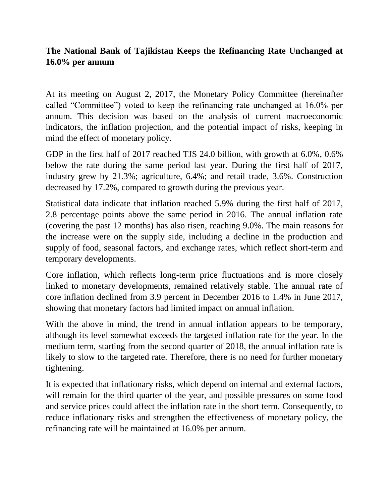## **The National Bank of Tajikistan Keeps the Refinancing Rate Unchanged at 16.0% per annum**

At its meeting on August 2, 2017, the Monetary Policy Committee (hereinafter called "Committee") voted to keep the refinancing rate unchanged at 16.0% per annum. This decision was based on the analysis of current macroeconomic indicators, the inflation projection, and the potential impact of risks, keeping in mind the effect of monetary policy.

GDP in the first half of 2017 reached TJS 24.0 billion, with growth at 6.0%, 0.6% below the rate during the same period last year. During the first half of 2017, industry grew by 21.3%; agriculture, 6.4%; and retail trade, 3.6%. Construction decreased by 17.2%, compared to growth during the previous year.

Statistical data indicate that inflation reached 5.9% during the first half of 2017, 2.8 percentage points above the same period in 2016. The annual inflation rate (covering the past 12 months) has also risen, reaching 9.0%. The main reasons for the increase were on the supply side, including a decline in the production and supply of food, seasonal factors, and exchange rates, which reflect short-term and temporary developments.

Core inflation, which reflects long-term price fluctuations and is more closely linked to monetary developments, remained relatively stable. The annual rate of core inflation declined from 3.9 percent in December 2016 to 1.4% in June 2017, showing that monetary factors had limited impact on annual inflation.

With the above in mind, the trend in annual inflation appears to be temporary, although its level somewhat exceeds the targeted inflation rate for the year. In the medium term, starting from the second quarter of 2018, the annual inflation rate is likely to slow to the targeted rate. Therefore, there is no need for further monetary tightening.

It is expected that inflationary risks, which depend on internal and external factors, will remain for the third quarter of the year, and possible pressures on some food and service prices could affect the inflation rate in the short term. Consequently, to reduce inflationary risks and strengthen the effectiveness of monetary policy, the refinancing rate will be maintained at 16.0% per annum.